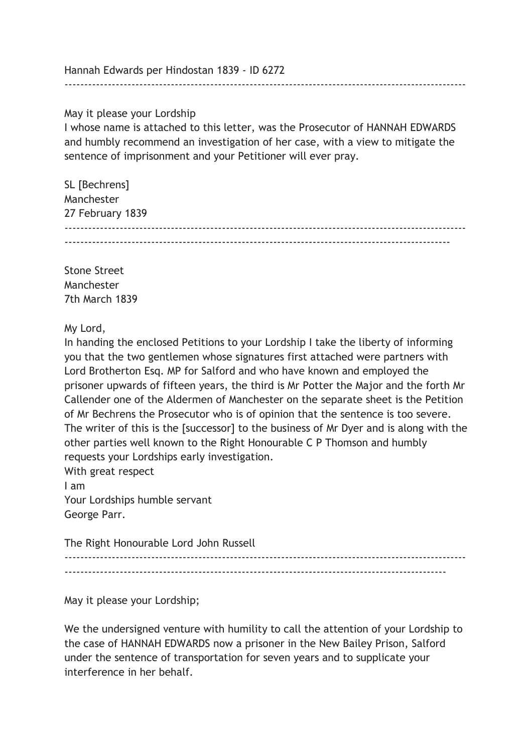Hannah Edwards per Hindostan 1839 - ID 6272

May it please your Lordship

I whose name is attached to this letter, was the Prosecutor of HANNAH EDWARDS and humbly recommend an investigation of her case, with a view to mitigate the sentence of imprisonment and your Petitioner will ever pray.

------------------------------------------------------------------------------------------------------

| SL [Bechrens]    |  |
|------------------|--|
| Manchester       |  |
| 27 February 1839 |  |
|                  |  |
|                  |  |

Stone Street Manchester 7th March 1839

My Lord,

In handing the enclosed Petitions to your Lordship I take the liberty of informing you that the two gentlemen whose signatures first attached were partners with Lord Brotherton Esq. MP for Salford and who have known and employed the prisoner upwards of fifteen years, the third is Mr Potter the Major and the forth Mr Callender one of the Aldermen of Manchester on the separate sheet is the Petition of Mr Bechrens the Prosecutor who is of opinion that the sentence is too severe. The writer of this is the [successor] to the business of Mr Dyer and is along with the other parties well known to the Right Honourable C P Thomson and humbly requests your Lordships early investigation.

With great respect I am Your Lordships humble servant George Parr.

The Right Honourable Lord John Russell ------------------------------------------------------------------------------------------------------  $-$ 

May it please your Lordship;

We the undersigned venture with humility to call the attention of your Lordship to the case of HANNAH EDWARDS now a prisoner in the New Bailey Prison, Salford under the sentence of transportation for seven years and to supplicate your interference in her behalf.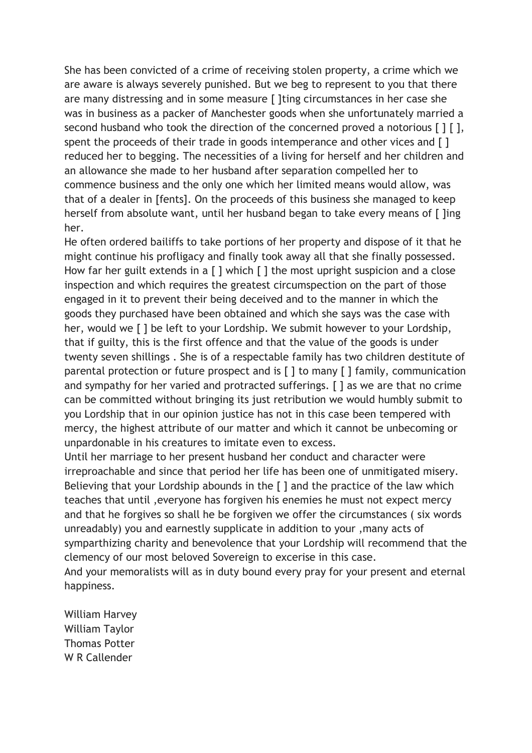She has been convicted of a crime of receiving stolen property, a crime which we are aware is always severely punished. But we beg to represent to you that there are many distressing and in some measure [ ]ting circumstances in her case she was in business as a packer of Manchester goods when she unfortunately married a second husband who took the direction of the concerned proved a notorious [ ] [ ], spent the proceeds of their trade in goods intemperance and other vices and [] reduced her to begging. The necessities of a living for herself and her children and an allowance she made to her husband after separation compelled her to commence business and the only one which her limited means would allow, was that of a dealer in [fents]. On the proceeds of this business she managed to keep herself from absolute want, until her husband began to take every means of [ ]ing her.

He often ordered bailiffs to take portions of her property and dispose of it that he might continue his profligacy and finally took away all that she finally possessed. How far her guilt extends in a  $\lceil \cdot \rceil$  which  $\lceil \cdot \rceil$  the most upright suspicion and a close inspection and which requires the greatest circumspection on the part of those engaged in it to prevent their being deceived and to the manner in which the goods they purchased have been obtained and which she says was the case with her, would we [ ] be left to your Lordship. We submit however to your Lordship, that if guilty, this is the first offence and that the value of the goods is under twenty seven shillings . She is of a respectable family has two children destitute of parental protection or future prospect and is [ ] to many [ ] family, communication and sympathy for her varied and protracted sufferings. [ ] as we are that no crime can be committed without bringing its just retribution we would humbly submit to you Lordship that in our opinion justice has not in this case been tempered with mercy, the highest attribute of our matter and which it cannot be unbecoming or unpardonable in his creatures to imitate even to excess.

Until her marriage to her present husband her conduct and character were irreproachable and since that period her life has been one of unmitigated misery. Believing that your Lordship abounds in the [ ] and the practice of the law which teaches that until ,everyone has forgiven his enemies he must not expect mercy and that he forgives so shall he be forgiven we offer the circumstances ( six words unreadably) you and earnestly supplicate in addition to your ,many acts of symparthizing charity and benevolence that your Lordship will recommend that the clemency of our most beloved Sovereign to excerise in this case. And your memoralists will as in duty bound every pray for your present and eternal happiness.

William Harvey William Taylor Thomas Potter W R Callender